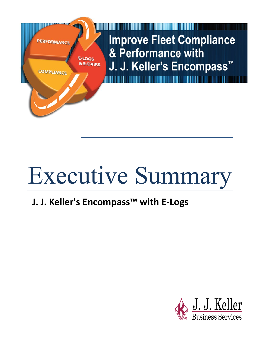

# Executive Summary

## **J. J. Keller's Encompass™ with E-Logs**

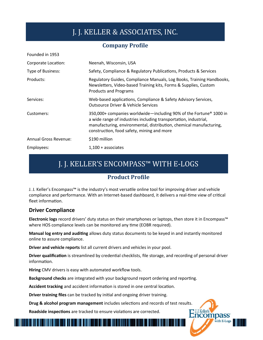## J. J. KELLER & ASSOCIATES, INC.

#### **Company Profile**

| Founded in 1953       |                                                                                                                                                                                                                                                                         |
|-----------------------|-------------------------------------------------------------------------------------------------------------------------------------------------------------------------------------------------------------------------------------------------------------------------|
| Corporate Location:   | Neenah, Wisconsin, USA                                                                                                                                                                                                                                                  |
| Type of Business:     | Safety, Compliance & Regulatory Publications, Products & Services                                                                                                                                                                                                       |
| Products:             | Regulatory Guides, Compliance Manuals, Log Books, Training Handbooks,<br>Newsletters, Video-based Training kits, Forms & Supplies, Custom<br><b>Products and Programs</b>                                                                                               |
| Services:             | Web-based applications, Compliance & Safety Advisory Services,<br><b>Outsource Driver &amp; Vehicle Services</b>                                                                                                                                                        |
| Customers:            | 350,000+ companies worldwide—including 90% of the Fortune <sup>®</sup> 1000 in<br>a wide range of industries including transportation, industrial,<br>manufacturing, environmental, distribution, chemical manufacturing,<br>construction, food safety, mining and more |
| Annual Gross Revenue: | \$190 million                                                                                                                                                                                                                                                           |
| Employees:            | $1,100 +$ associates                                                                                                                                                                                                                                                    |

## J. J. KELLER'S ENCOMPASS™ WITH E-LOGS

#### **Product Profile**

J. J. Keller's Encompass™ is the industry's most versatile online tool for improving driver and vehicle compliance and performance. With an Internet-based dashboard, it delivers a real-time view of critical fleet information.

#### **Driver Compliance**

. . . . . . . . . . . . .

**Electronic logs** record drivers' duty status on their smartphones or laptops, then store it in Encompass™ where HOS compliance levels can be monitored any time (EOBR required).

**Manual log entry and auditing** allows duty status documents to be keyed in and instantly monitored online to assure compliance.

**Driver and vehicle reports** list all current drivers and vehicles in your pool.

**Driver qualification** is streamlined by credential checklists, file storage, and recording of personal driver information.

J.J. Keller's

ncompass

with E-Logs

**Hiring** CMV drivers is easy with automated workflow tools.

**Background checks** are integrated with your background report ordering and reporting.

**Accident tracking** and accident information is stored in one central location.

**Driver training files** can be tracked by initial and ongoing driver training.

**Drug & alcohol program management** includes selections and records of test results.

**Roadside inspections** are tracked to ensure violations are corrected.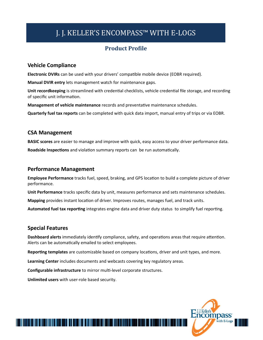## J. J. KELLER'S ENCOMPASS™ WITH E-LOGS

#### **Product Profile**

#### **Vehicle Compliance**

**Electronic DVIRs** can be used with your drivers' compatible mobile device (EOBR required).

**Manual DVIR entry** lets management watch for maintenance gaps.

**Unit recordkeeping** is streamlined with credential checklists, vehicle credential file storage, and recording of specific unit information.

**Management of vehicle maintenance** records and preventative maintenance schedules.

**Quarterly fuel tax reports** can be completed with quick data import, manual entry of trips or via EOBR.

#### **CSA Management**

**BASIC scores** are easier to manage and improve with quick, easy access to your driver performance data. **Roadside Inspections** and violation summary reports can be run automatically.

#### **Performance Management**

**Employee Performance** tracks fuel, speed, braking, and GPS location to build a complete picture of driver performance.

**Unit Performance** tracks specific data by unit, measures performance and sets maintenance schedules.

**Mapping** provides instant location of driver. Improves routes, manages fuel, and track units.

**Automated fuel tax reporting** integrates engine data and driver duty status to simplify fuel reporting.

#### **Special Features**

**Dashboard alerts** immediately identify compliance, safety, and operations areas that require attention. Alerts can be automatically emailed to select employees.

**Reporting templates** are customizable based on company locations, driver and unit types, and more.

**Learning Center** includes documents and webcasts covering key regulatory areas.

**Configurable infrastructure** to mirror multi-level corporate structures.

<u> 1989 - Andrew Maria Maria Maria Maria Maria Maria Maria Maria Maria Maria Maria Maria Maria Maria Maria Mari</u>

**Unlimited users** with user-role based security.

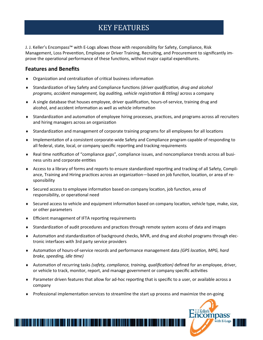### KEY FEATURES

J. J. Keller's Encompass™ with E-Logs allows those with responsibility for Safety, Compliance, Risk Management, Loss Prevention, Employee or Driver Training, Recruiting, and Procurement to significantly improve the operational performance of these functions, without major capital expenditures.

#### **Features and Benefits**

- Organization and centralization of critical business information
- Standardization of key Safety and Compliance functions *(driver qualification, drug and alcohol programs, accident management, log auditing, vehicle registration & titling)* across a company
- A single database that houses employee, driver qualification, hours-of-service, training drug and alcohol, and accident information as well as vehicle information
- Standardization and automation of employee hiring processes, practices, and programs across all recruiters and hiring managers across an organization
- Standardization and management of corporate training programs for all employees for all locations
- Implementation of a consistent corporate-wide Safety and Compliance program capable of responding to all federal, state, local, or company specific reporting and tracking requirements
- Real time notification of "compliance gaps", compliance issues, and noncompliance trends across all business units and corporate entities
- Access to a library of forms and reports to ensure standardized reporting and tracking of all Safety, Compliance, Training and Hiring practices across an organization—based on job function, location, or area of responsibility
- Secured access to employee information based on company location, job function, area of responsibility, or operational need
- $\bullet$  Secured access to vehicle and equipment information based on company location, vehicle type, make, size, or other parameters
- Efficient management of IFTA reporting requirements

- Standardization of audit procedures and practices through remote system access of data and images
- Automation and standardization of background checks, MVR, and drug and alcohol programs through electronic interfaces with 3rd party service providers
- Automation of hours-of-service records and performance management data *(GPS location, MPG, hard brake, speeding, idle time)*
- Automation of recurring tasks *(safety, compliance, training, qualification)* defined for an employee, driver, or vehicle to track, monitor, report, and manage government or company specific activities

- Parameter driven features that allow for ad-hoc reporting that is specific to a user, or available across a company
- Professional implementation services to streamline the start up process and maximize the on-going